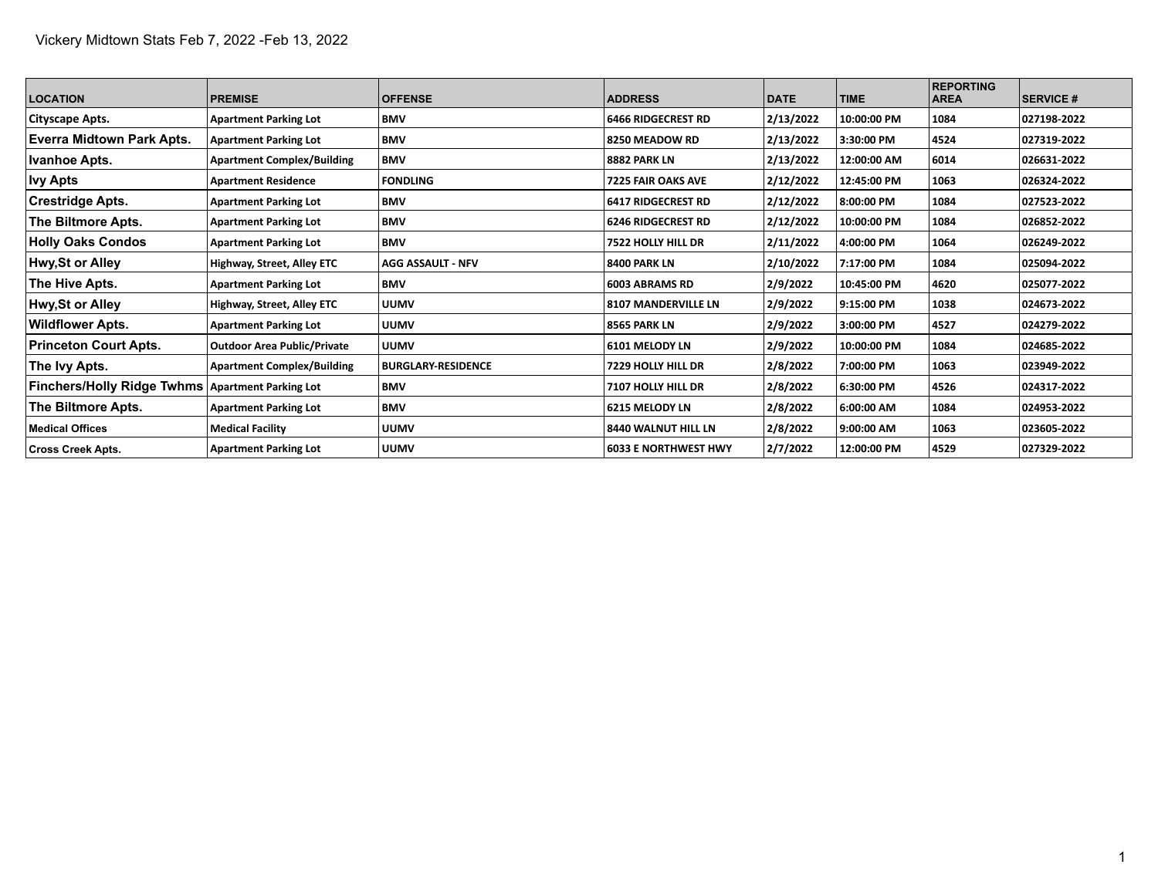| <b>LOCATION</b>                                    | <b>PREMISE</b>                     | <b>OFFENSE</b>            | <b>ADDRESS</b>              | <b>DATE</b> | <b>TIME</b> | <b>REPORTING</b><br><b>AREA</b> | <b>SERVICE #</b> |
|----------------------------------------------------|------------------------------------|---------------------------|-----------------------------|-------------|-------------|---------------------------------|------------------|
| Cityscape Apts.                                    | <b>Apartment Parking Lot</b>       | <b>BMV</b>                | 6466 RIDGECREST RD          | 2/13/2022   | 10:00:00 PM | 1084                            | 027198-2022      |
| Everra Midtown Park Apts.                          | <b>Apartment Parking Lot</b>       | <b>BMV</b>                | 8250 MEADOW RD              | 2/13/2022   | 3:30:00 PM  | 4524                            | 027319-2022      |
| <b>Ivanhoe Apts.</b>                               | <b>Apartment Complex/Building</b>  | <b>BMV</b>                | 8882 PARK LN                | 2/13/2022   | 12:00:00 AM | 6014                            | 026631-2022      |
| <b>Ivy Apts</b>                                    | <b>Apartment Residence</b>         | <b>FONDLING</b>           | <b>7225 FAIR OAKS AVE</b>   | 2/12/2022   | 12:45:00 PM | 1063                            | 026324-2022      |
| <b>Crestridge Apts.</b>                            | <b>Apartment Parking Lot</b>       | <b>BMV</b>                | 6417 RIDGECREST RD          | 2/12/2022   | 8:00:00 PM  | 1084                            | 027523 2022      |
| The Biltmore Apts.                                 | <b>Apartment Parking Lot</b>       | BMV                       | 6246 RIDGECREST RD          | 2/12/2022   | 10:00:00 PM | 1084                            | 026852-2022      |
| <b>Holly Oaks Condos</b>                           | <b>Apartment Parking Lot</b>       | <b>BMV</b>                | 7522 HOLLY HILL DR          | 2/11/2022   | 4:00:00 PM  | 1064                            | 026249-2022      |
| <b>Hwy, St or Alley</b>                            | Highway, Street, Alley ETC         | <b>AGG ASSAULT - NFV</b>  | 8400 PARK LN                | 2/10/2022   | 7:17:00 PM  | 1084                            | 025094-2022      |
| The Hive Apts.                                     | <b>Apartment Parking Lot</b>       | <b>BMV</b>                | 6003 ABRAMS RD              | 2/9/2022    | 10:45:00 PM | 4620                            | 025077-2022      |
| <b>Hwy, St or Alley</b>                            | Highway, Street, Alley ETC         | <b>UUMV</b>               | 8107 MANDERVILLE LN         | 2/9/2022    | 9:15:00 PM  | 1038                            | 024673-2022      |
| <b>Wildflower Apts.</b>                            | <b>Apartment Parking Lot</b>       | <b>UUMV</b>               | 8565 PARK LN                | 2/9/2022    | 3:00:00 PM  | 4527                            | 024279-2022      |
| <b>Princeton Court Apts.</b>                       | <b>Outdoor Area Public/Private</b> | <b>UUMV</b>               | 6101 MELODY LN              | 2/9/2022    | 10:00:00 PM | 1084                            | 024685-2022      |
| The Ivy Apts.                                      | <b>Apartment Complex/Building</b>  | <b>BURGLARY-RESIDENCE</b> | 7229 HOLLY HILL DR          | 2/8/2022    | 7:00:00 PM  | 1063                            | 023949-2022      |
| Finchers/Holly Ridge Twhms   Apartment Parking Lot |                                    | <b>BMV</b>                | 7107 HOLLY HILL DR          | 2/8/2022    | 6:30:00 PM  | 4526                            | 024317-2022      |
| The Biltmore Apts.                                 | <b>Apartment Parking Lot</b>       | <b>BMV</b>                | <b>6215 MELODY LN</b>       | 2/8/2022    | 6:00:00 AM  | 1084                            | 024953-2022      |
| Medical Offices                                    | <b>Medical Facility</b>            | <b>UUMV</b>               | 8440 WALNUT HILL LN         | 2/8/2022    | 9:00:00 AM  | 1063                            | 023605-2022      |
| <b>Cross Creek Apts.</b>                           | <b>Apartment Parking Lot</b>       | <b>UUMV</b>               | <b>6033 E NORTHWEST HWY</b> | 2/7/2022    | 12:00:00 PM | 4529                            | 027329-2022      |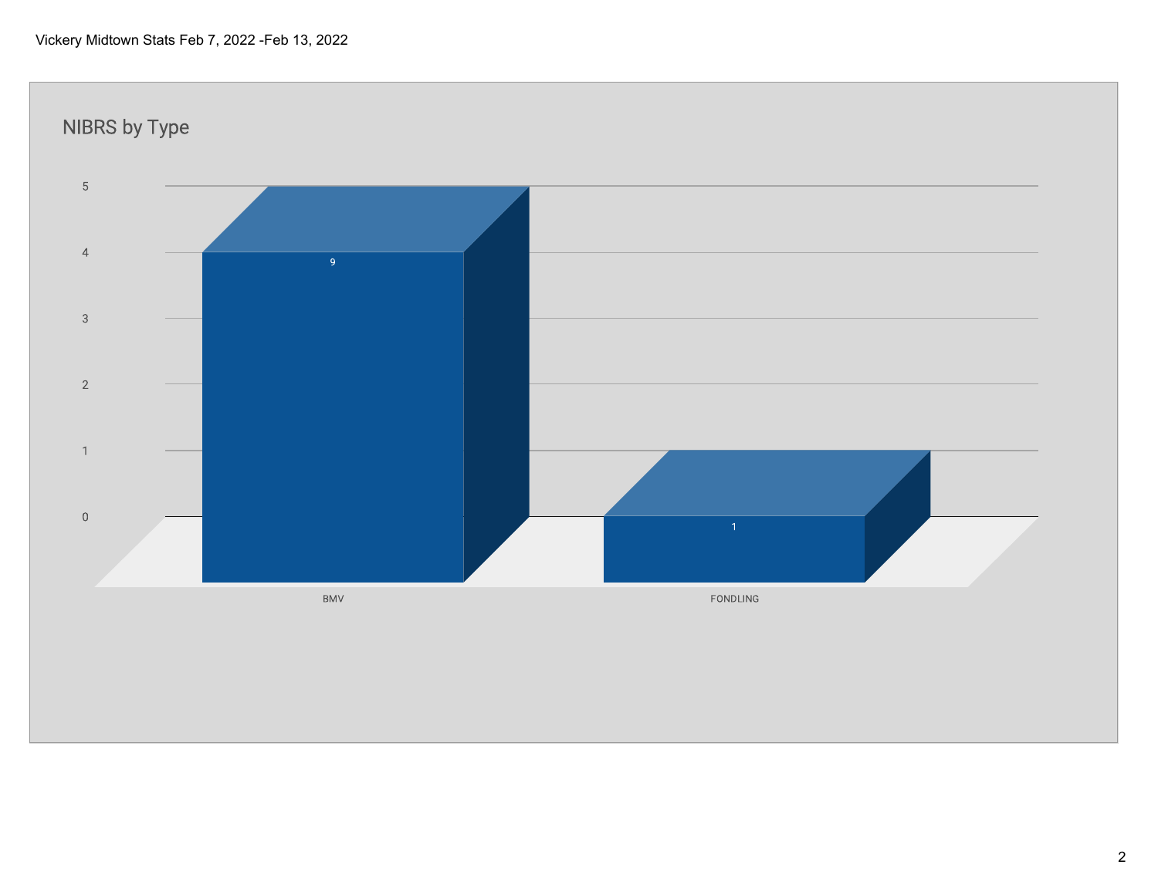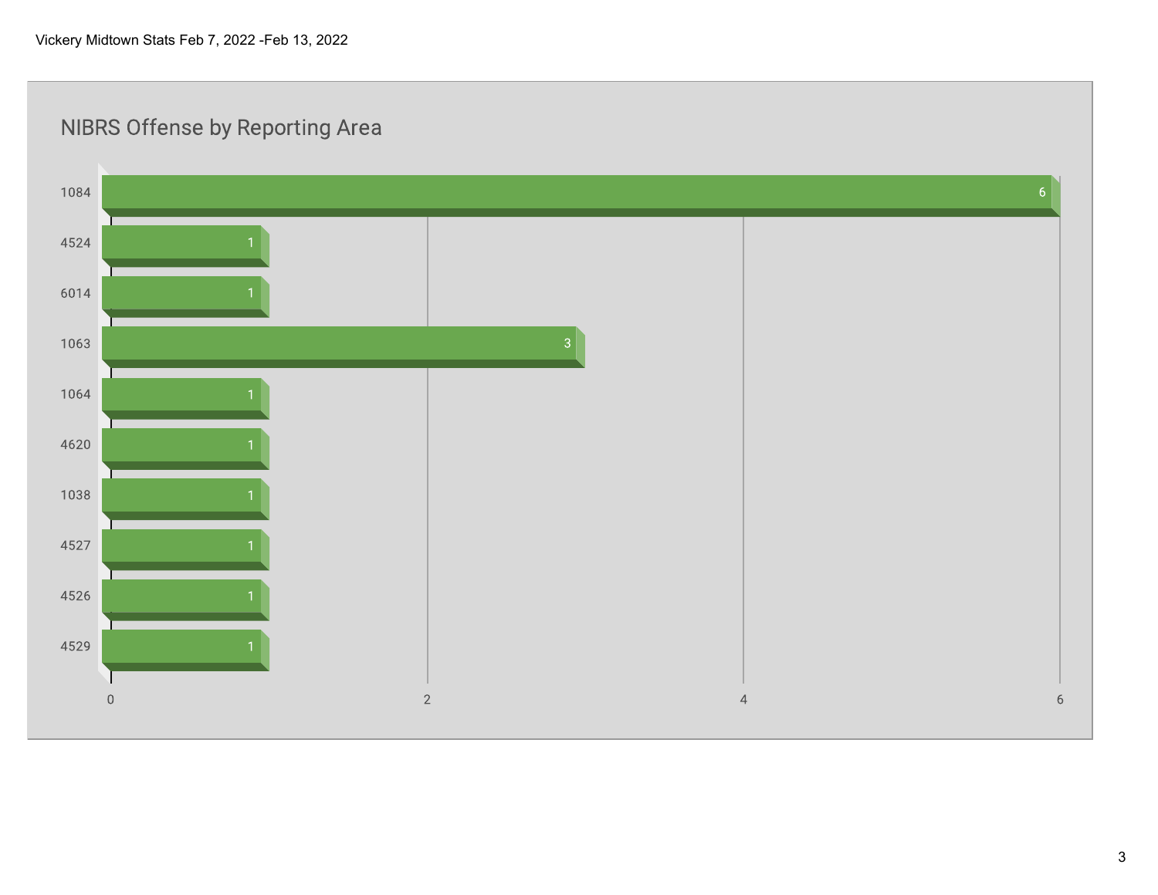## **NIBRS Offense by Reporting Area**

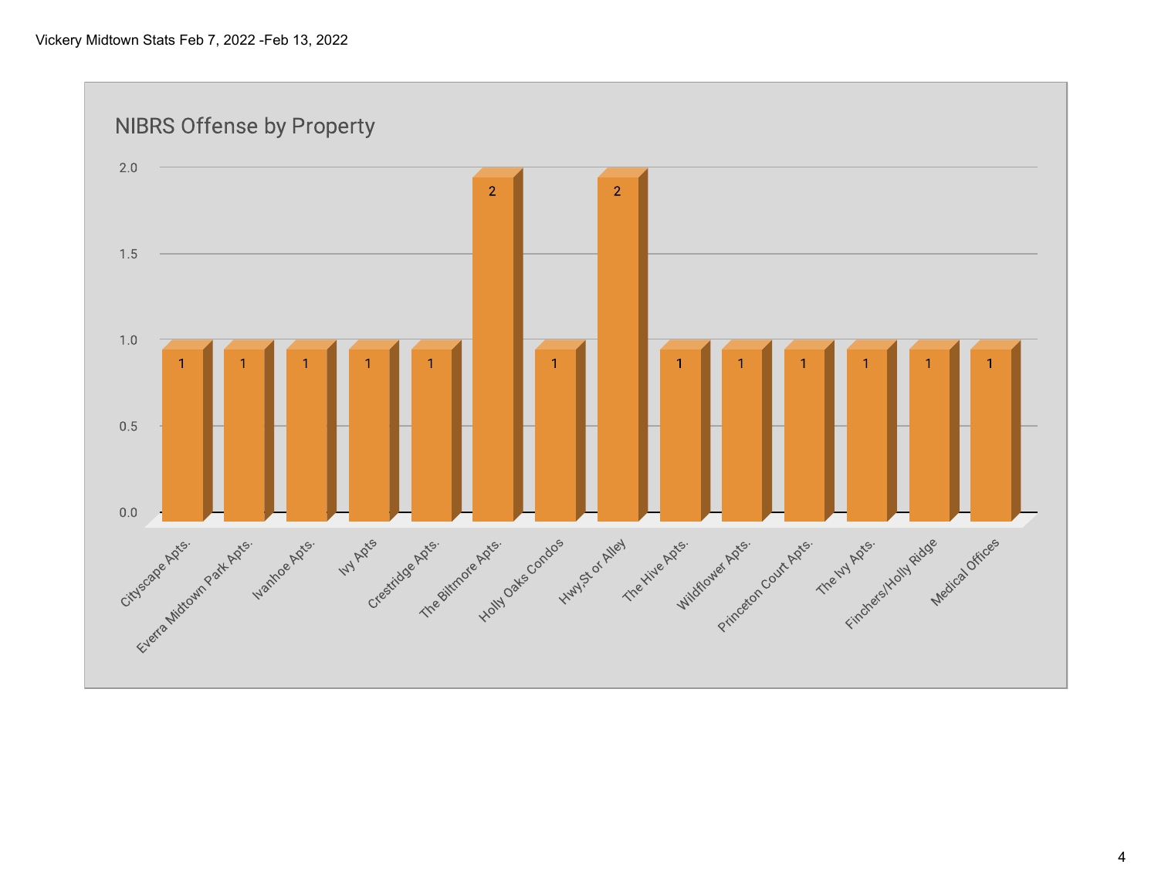